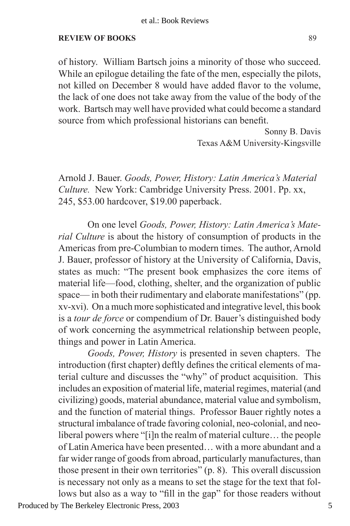## **REVIEW OF BOOKS**

of history. William Bartsch joins a minority of those who succeed. While an epilogue detailing the fate of the men, especially the pilots, not killed on December 8 would have added flavor to the volume, the lack of one does not take away from the value of the body of the work. Bartsch may well have provided what could become a standard source from which professional historians can benefit.

> Sonny B. Davis Texas A&M University-Kingsville

Arnold J. Bauer. *Goods, Power, History: Latin America's Material Culture.*New York: Cambridge University Press. 2001. Pp. xx, 245, \$53.00 hardcover, \$19.00 paperback.

 On one level *Goods, Power, History: Latin America's Material Culture* is about the history of consumption of products in the Americas from pre-Columbian to modern times. The author, Arnold J. Bauer, professor of history at the University of California, Davis, states as much: "The present book emphasizes the core items of material life—food, clothing, shelter, and the organization of public space— in both their rudimentary and elaborate manifestations" (pp. xv-xvi). On a much more sophisticated and integrative level, this book is a *tour de force* or compendium of Dr. Bauer's distinguished body of work concerning the asymmetrical relationship between people, things and power in Latin America.

*Goods, Power, History* is presented in seven chapters. The introduction (first chapter) deftly defines the critical elements of material culture and discusses the "why" of product acquisition. This includes an exposition of material life, material regimes, material (and civilizing) goods, material abundance, material value and symbolism, and the function of material things. Professor Bauer rightly notes a structural imbalance of trade favoring colonial, neo-colonial, and neoliberal powers where "[i]n the realm of material culture… the people of Latin America have been presented… with a more abundant and a far wider range of goods from abroad, particularly manufactures, than those present in their own territories" (p. 8). This overall discussion is necessary not only as a means to set the stage for the text that follows but also as a way to "fill in the gap" for those readers without

Produced by The Berkeley Electronic Press, 2003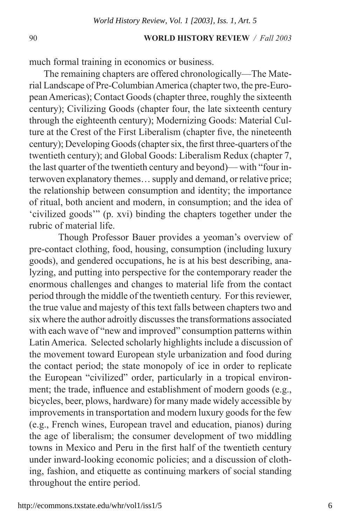## 90 **WORLD HISTORY REVIEW** */ Fall 2003*

much formal training in economics or business.

The remaining chapters are offered chronologically—The Material Landscape of Pre-ColumbianAmerica (chapter two, the pre-European Americas); Contact Goods (chapter three, roughly the sixteenth century); Civilizing Goods (chapter four, the late sixteenth century through the eighteenth century); Modernizing Goods: Material Culture at the Crest of the First Liberalism (chapter five, the nineteenth century); Developing Goods (chapter six, the first three-quarters of the twentieth century); and Global Goods: Liberalism Redux (chapter 7, the last quarter of the twentieth century and beyond)— with "four interwoven explanatory themes… supply and demand, or relative price; the relationship between consumption and identity; the importance of ritual, both ancient and modern, in consumption; and the idea of 'civilized goods'" (p. xvi) binding the chapters together under the rubric of material life.

 Though Professor Bauer provides a yeoman's overview of pre-contact clothing, food, housing, consumption (including luxury goods), and gendered occupations, he is at his best describing, analyzing, and putting into perspective for the contemporary reader the enormous challenges and changes to material life from the contact period through the middle of the twentieth century. For this reviewer, the true value and majesty of this text falls between chapters two and six where the author adroitly discusses the transformations associated with each wave of "new and improved" consumption patterns within Latin America. Selected scholarly highlights include a discussion of the movement toward European style urbanization and food during the contact period; the state monopoly of ice in order to replicate the European "civilized" order, particularly in a tropical environment; the trade, influence and establishment of modern goods (e.g., bicycles, beer, plows, hardware) for many made widely accessible by improvements in transportation and modern luxury goods for the few (e.g., French wines, European travel and education, pianos) during the age of liberalism; the consumer development of two middling towns in Mexico and Peru in the first half of the twentieth century under inward-looking economic policies; and a discussion of clothing, fashion, and etiquette as continuing markers of social standing throughout the entire period.